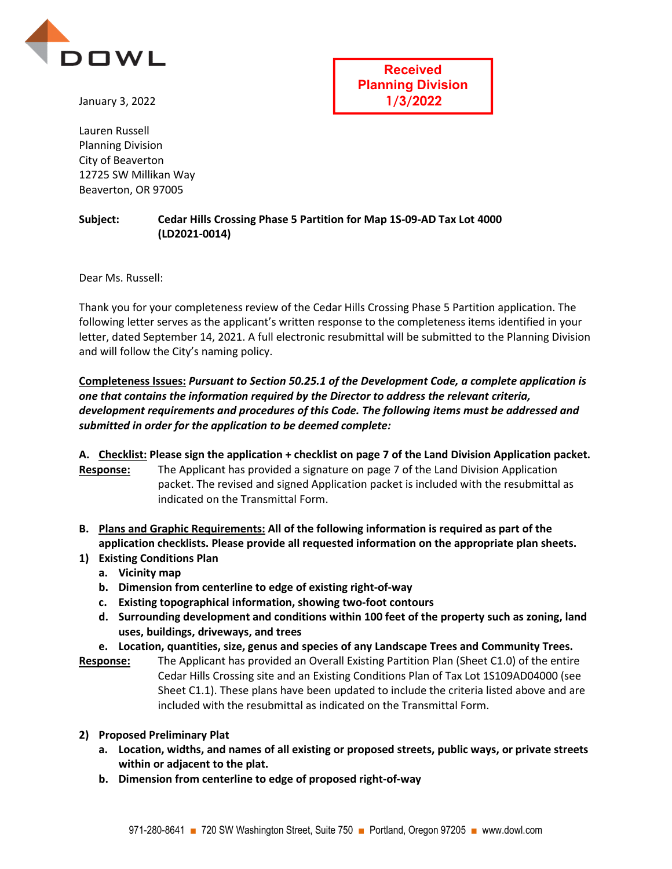

January 3, 2022

Lauren Russell Planning Division City of Beaverton 12725 SW Millikan Way Beaverton, OR 97005

**Received Planning Division 1/3/2022**

## **Subject: Cedar Hills Crossing Phase 5 Partition for Map 1S-09-AD Tax Lot 4000 (LD2021-0014)**

Dear Ms. Russell:

Thank you for your completeness review of the Cedar Hills Crossing Phase 5 Partition application. The following letter serves as the applicant's written response to the completeness items identified in your letter, dated September 14, 2021. A full electronic resubmittal will be submitted to the Planning Division and will follow the City's naming policy.

**Completeness Issues:** *Pursuant to Section 50.25.1 of the Development Code, a complete application is one that contains the information required by the Director to address the relevant criteria, development requirements and procedures of this Code. The following items must be addressed and submitted in order for the application to be deemed complete:*

## **A. Checklist: Please sign the application + checklist on page 7 of the Land Division Application packet.**

**Response:** The Applicant has provided a signature on page 7 of the Land Division Application packet. The revised and signed Application packet is included with the resubmittal as indicated on the Transmittal Form.

- **B. Plans and Graphic Requirements: All of the following information is required as part of the application checklists. Please provide all requested information on the appropriate plan sheets.**
- **1) Existing Conditions Plan** 
	- **a. Vicinity map**
	- **b. Dimension from centerline to edge of existing right-of-way**
	- **c. Existing topographical information, showing two-foot contours**
	- **d. Surrounding development and conditions within 100 feet of the property such as zoning, land uses, buildings, driveways, and trees**
	- **e. Location, quantities, size, genus and species of any Landscape Trees and Community Trees.**
- **Response:** The Applicant has provided an Overall Existing Partition Plan (Sheet C1.0) of the entire Cedar Hills Crossing site and an Existing Conditions Plan of Tax Lot 1S109AD04000 (see Sheet C1.1). These plans have been updated to include the criteria listed above and are included with the resubmittal as indicated on the Transmittal Form.
- **2) Proposed Preliminary Plat** 
	- **a. Location, widths, and names of all existing or proposed streets, public ways, or private streets within or adjacent to the plat.**
	- **b. Dimension from centerline to edge of proposed right-of-way**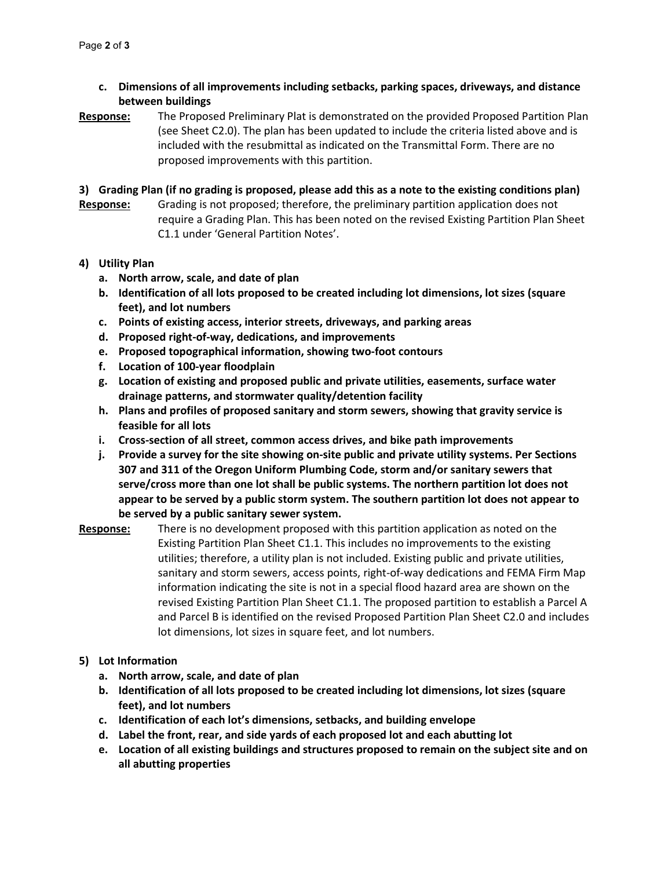- **c. Dimensions of all improvements including setbacks, parking spaces, driveways, and distance between buildings**
- **Response:** The Proposed Preliminary Plat is demonstrated on the provided Proposed Partition Plan (see Sheet C2.0). The plan has been updated to include the criteria listed above and is included with the resubmittal as indicated on the Transmittal Form. There are no proposed improvements with this partition.
- **3) Grading Plan (if no grading is proposed, please add this as a note to the existing conditions plan)**
- **Response:** Grading is not proposed; therefore, the preliminary partition application does not require a Grading Plan. This has been noted on the revised Existing Partition Plan Sheet C1.1 under 'General Partition Notes'.

## **4) Utility Plan**

- **a. North arrow, scale, and date of plan**
- **b. Identification of all lots proposed to be created including lot dimensions, lot sizes (square feet), and lot numbers**
- **c. Points of existing access, interior streets, driveways, and parking areas**
- **d. Proposed right-of-way, dedications, and improvements**
- **e. Proposed topographical information, showing two-foot contours**
- **f. Location of 100-year floodplain**
- **g. Location of existing and proposed public and private utilities, easements, surface water drainage patterns, and stormwater quality/detention facility**
- **h. Plans and profiles of proposed sanitary and storm sewers, showing that gravity service is feasible for all lots**
- **i. Cross-section of all street, common access drives, and bike path improvements**
- **j. Provide a survey for the site showing on-site public and private utility systems. Per Sections 307 and 311 of the Oregon Uniform Plumbing Code, storm and/or sanitary sewers that serve/cross more than one lot shall be public systems. The northern partition lot does not appear to be served by a public storm system. The southern partition lot does not appear to be served by a public sanitary sewer system.**
- **Response:** There is no development proposed with this partition application as noted on the Existing Partition Plan Sheet C1.1. This includes no improvements to the existing utilities; therefore, a utility plan is not included. Existing public and private utilities, sanitary and storm sewers, access points, right-of-way dedications and FEMA Firm Map information indicating the site is not in a special flood hazard area are shown on the revised Existing Partition Plan Sheet C1.1. The proposed partition to establish a Parcel A and Parcel B is identified on the revised Proposed Partition Plan Sheet C2.0 and includes lot dimensions, lot sizes in square feet, and lot numbers.
- **5) Lot Information** 
	- **a. North arrow, scale, and date of plan**
	- **b. Identification of all lots proposed to be created including lot dimensions, lot sizes (square feet), and lot numbers**
	- **c. Identification of each lot's dimensions, setbacks, and building envelope**
	- **d. Label the front, rear, and side yards of each proposed lot and each abutting lot**
	- **e. Location of all existing buildings and structures proposed to remain on the subject site and on all abutting properties**